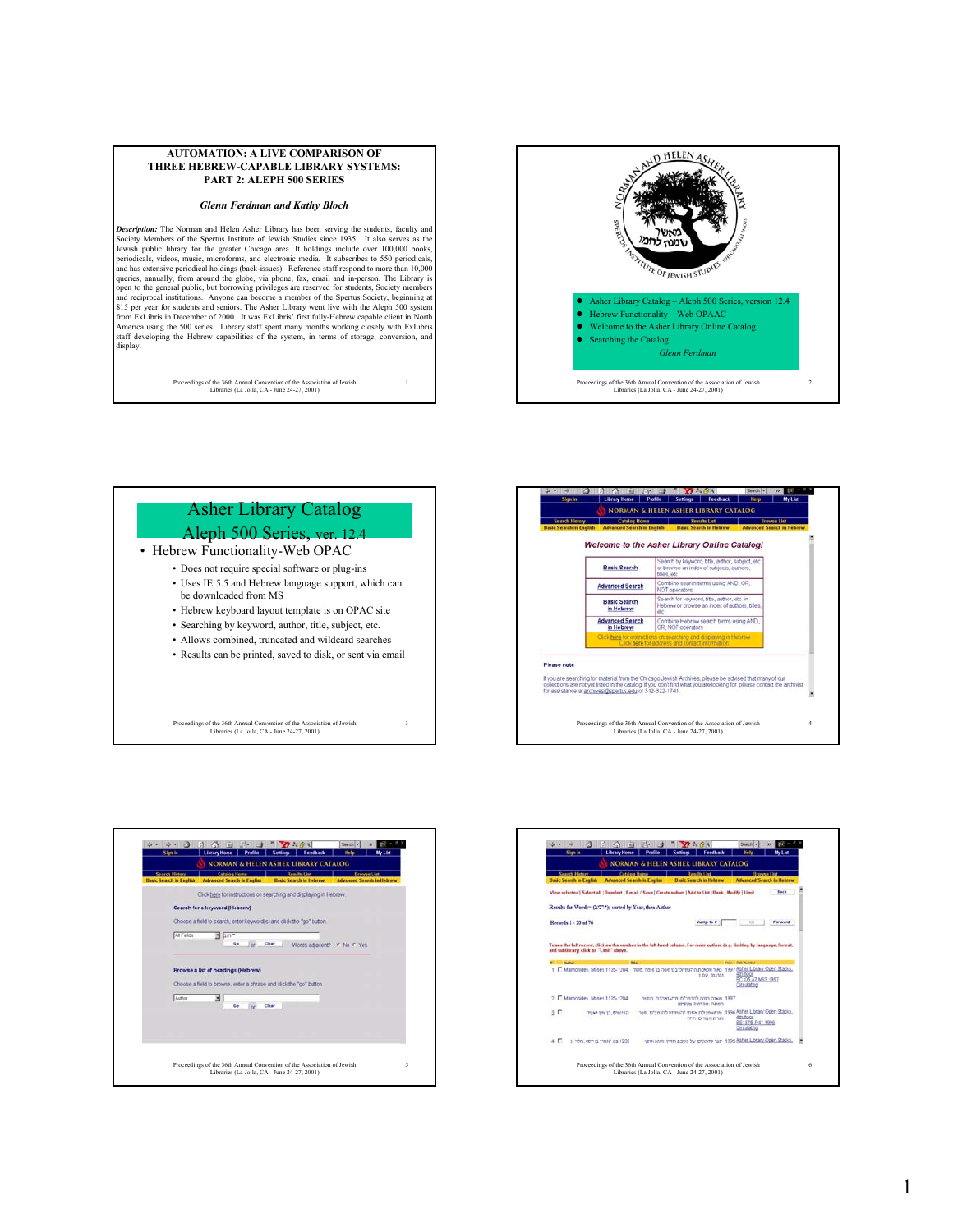#### **AUTOMATION: A LIVE COMPARISON OF THREE HEBREW-CAPABLE LIBRARY SYSTEMS: PART 2: ALEPH 500 SERIES**

### *Glenn Ferdman and Kathy Bloch*

*Description:* The Norman and Helen Asher Library has been serving the students, faculty and Society Members of the Spertus Institute of Jewish Studies since 1935. It also serves as the Jewish public library for the greater Chicago area. It holdings include over 100,000 books, periodicals, videos, music, meroforms queries, annually, from around the globe, via phone, fax, email and in-person. The Library is open to the general public, but borrowing privileges are reserved for students, Society members and reciprocal institutions. Anyone can become a member of the Spertus Society, beginning at \$15 per year for students and seniors. The Asher Library went live with the Aleph 500 system from ExLibris in December of 2000. I staff developing the Hebrew capabilities of the system, in terms of storage, conversion, and display.

Proceedings of the 36th Annual Convention of the Association of Jewish Libraries (La Jolla, CA - June 24-27, 2001)



### Asher Library Catalog Aleph 500 Series, ver. 12.4 • Hebrew Functionality-Web OPAC • Does not require special software or plug-ins • Uses IE 5.5 and Hebrew language support, which can be downloaded from MS • Hebrew keyboard layout template is on OPAC site • Searching by keyword, author, title, subject, etc. • Allows combined, truncated and wildcard searches • Results can be printed, saved to disk, or sent via email

1

3

**Campaign Community of the Series of State Community**<br>| Library Horne | Profile | Serings | Feedback | the Link NORMAN & HELEN ASHER LIBRARY CATALOG **Staling Home Denville Line** Welcome to the Asher Library Online Catalogi earch by keyword, title, author, subject, etc.<br>browse an index of subjects, authors, **Basic Search** terms using AND, OF **Advanced Search** Iombine search<br>IOT operators ch for keyword, title, author, etc. is<br>ew or browse an index of authors Basic Search<br>in Hebrew **Advanced Search**<br>in Hebrew Please note If you are searching for material from the Chicago Jewish Archives, please be advised that many of our<br>collections are not yet lated in the catalog. If you don't find what you are looking for, please contact the archivist<br> 4 Proceedings of the 36th Annual Convention of the Association of Jewish Libraries (La Jolla, CA - June 24-27, 2001)

**ACCEPT ACCEPT ACCEPT**<br>**Univy Kone Prefix** Serings | Ference In<br>| NORMAN & HELEN ASHER LIBRARY CATALOG  $a$  a and a st Catalog Home **Beachs Flor** Click here for instructions on searching and displaying in H Search for a keyword (Hebrew) Choose a field to search, erter keyword(s) and click the "go" button.  $int F_{\text{eff}}$ Browse a list of headings (Hebrew) Choose a field to browse, enter a phrase and click the "go" button  $\begin{tabular}{c|c|c|c} \hline \rule{0pt}{2.5ex} \rule[-12pt]{0pt}{2.5ex} \rule[-12pt]{0pt}{2.5ex} & \rule[-12pt]{0pt}{2.5ex} \rule[-12pt]{0pt}{2.5ex} & \rule[-12pt]{0pt}{2.5ex} \rule[-12pt]{0pt}{2.5ex} & \rule[-12pt]{0pt}{2.5ex} \rule[-12pt]{0pt}{2.5ex} & \rule[-12pt]{0pt}{2.5ex} \rule[-12pt]{0pt}{2.5ex} & \rule[-12pt]{0pt}{2.5ex} \rule[-12pt]{0pt}{2.5ex} & \rule[-12pt$ Proceedings of the 36th Annual Convention of the Association of Jewish Libraries (La Jolla, CA - June 24-27, 2001)

Proceedings of the 36th Annual Convention of the Association of Jewish Libraries (La Jolla, CA - June 24-27, 2001)

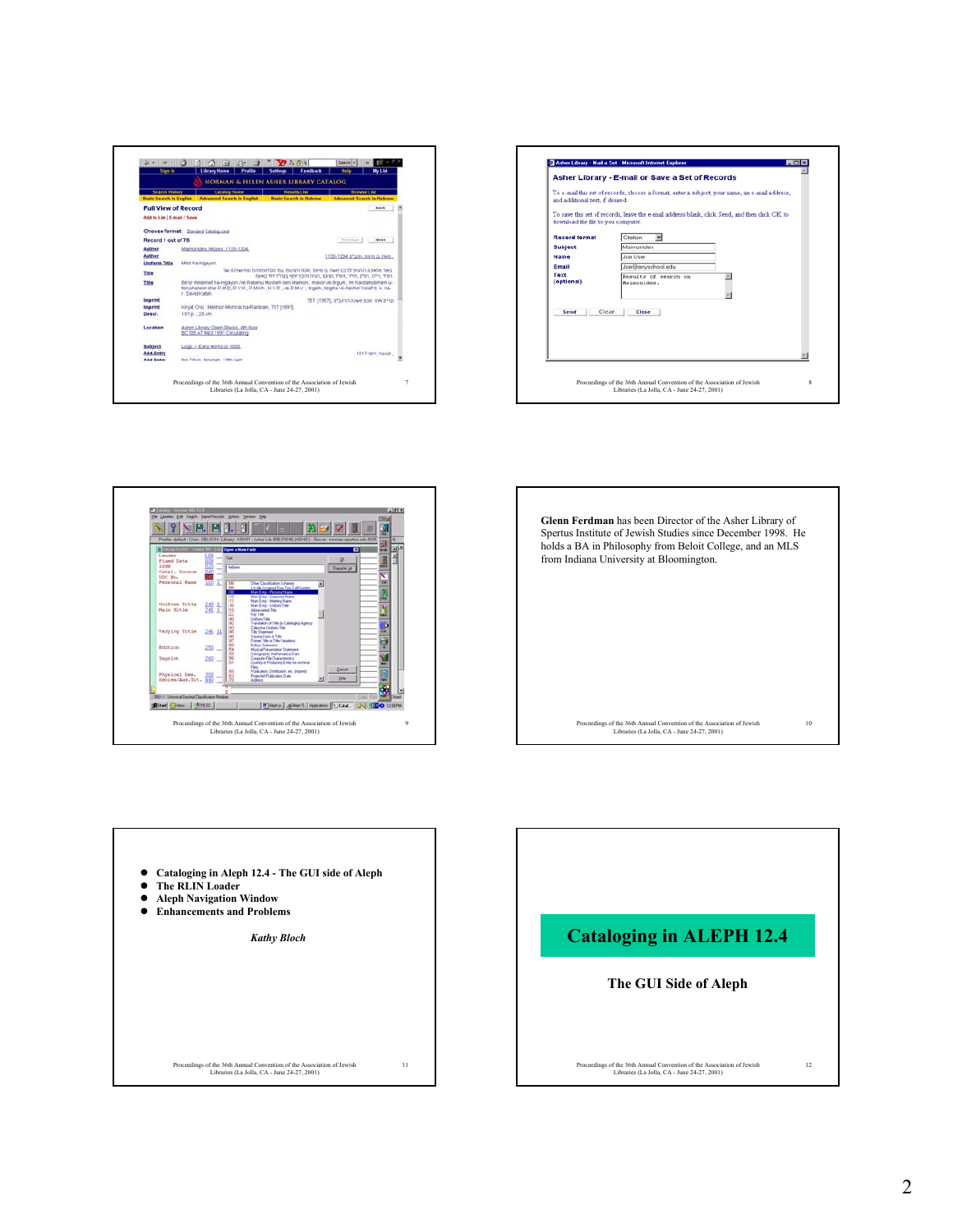









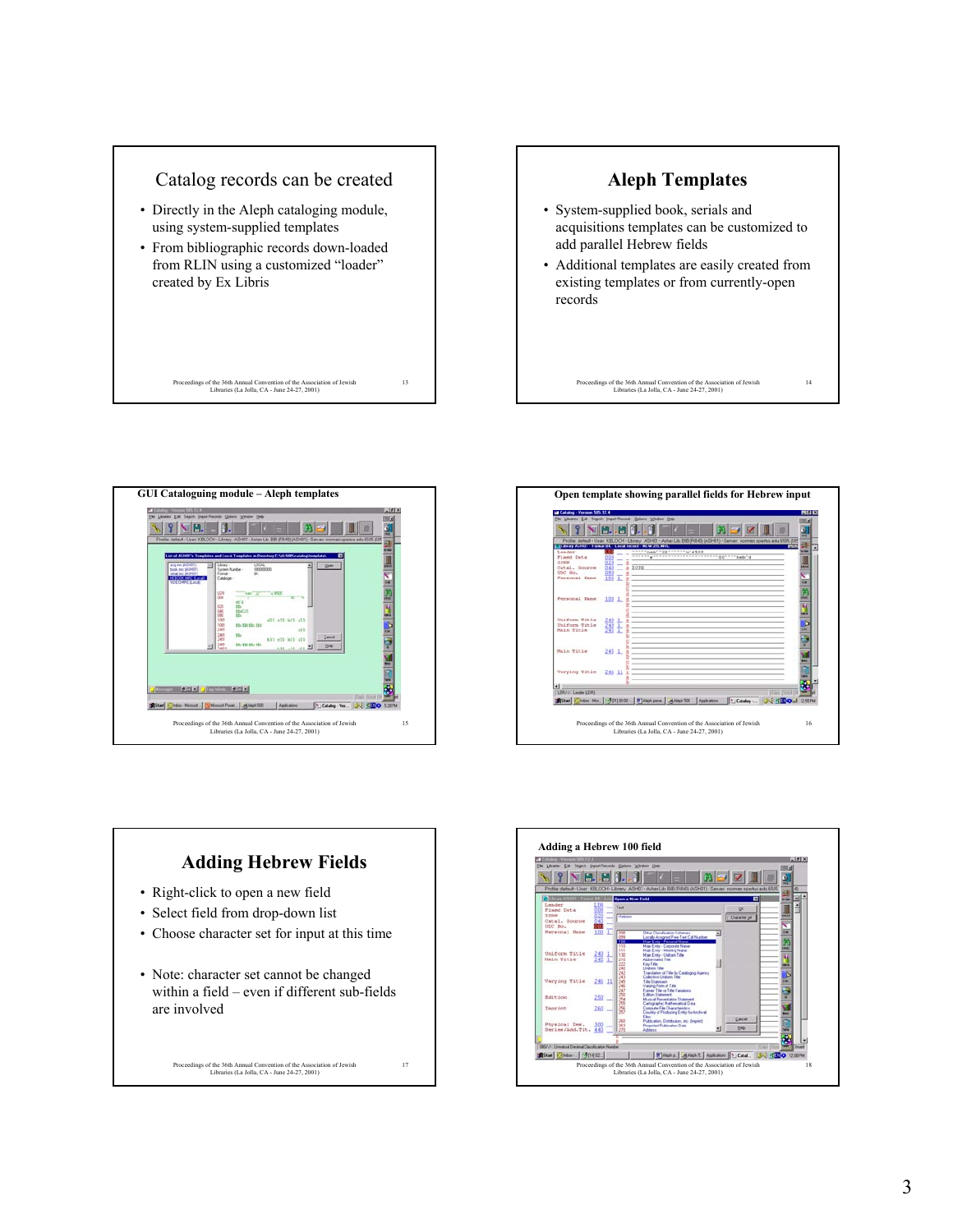









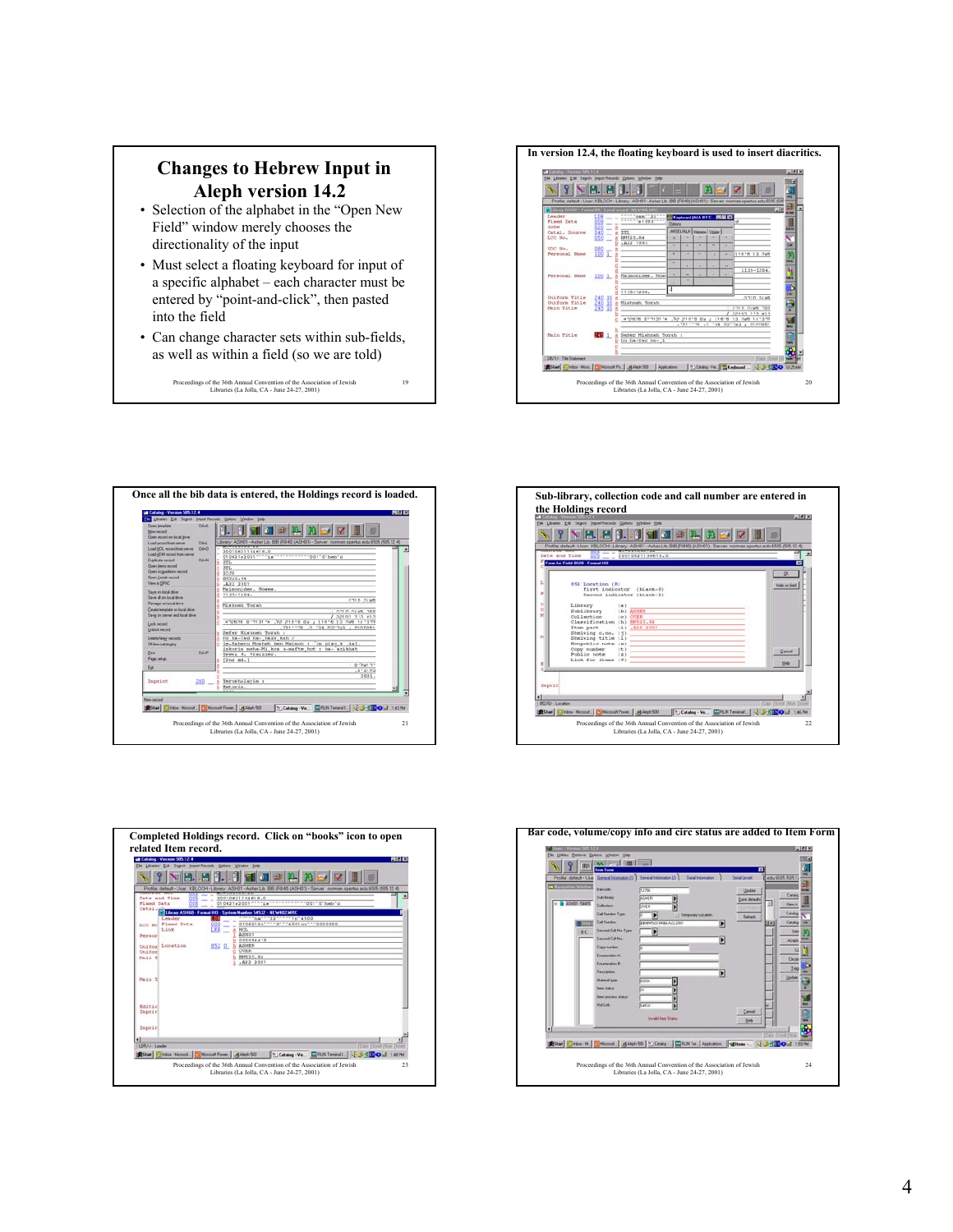## **Changes to Hebrew Input in Aleph version 14.2**

- Selection of the alphabet in the "Open New Field" window merely chooses the directionality of the input
- Must select a floating keyboard for input of a specific alphabet – each character must be entered by "point-and-click", then pasted into the field
- Can change character sets within sub-fields, as well as within a field (so we are told)

19

Proceedings of the 36th Annual Convention of the Association of Jewish Libraries (La Jolla, CA - June 24-27, 2001)

**In version 12.4, the floating keyboard is used to insert diacritics.**









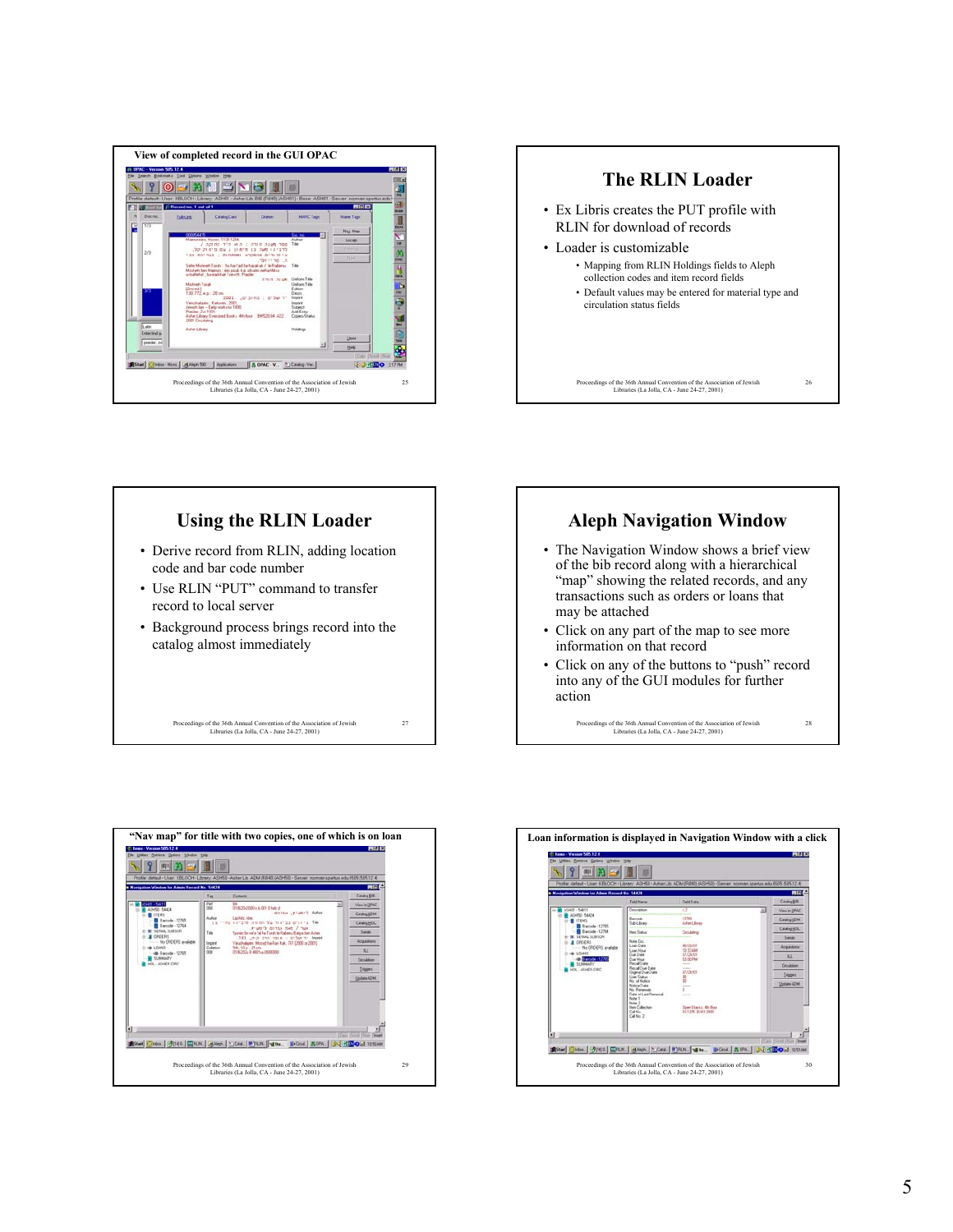



# Proceedings of the 36th Annual Convention of the Association of Jewish Libraries (La Jolla, CA - June 24-27, 2001) 27 **Using the RLIN Loader** • Derive record from RLIN, adding location code and bar code number • Use RLIN "PUT" command to transfer record to local server • Background process brings record into the catalog almost immediately



Proceedings of the 36th Annual Convention of the Association of Jewish Libraries (La Jolla, CA - June 24-27, 2001)